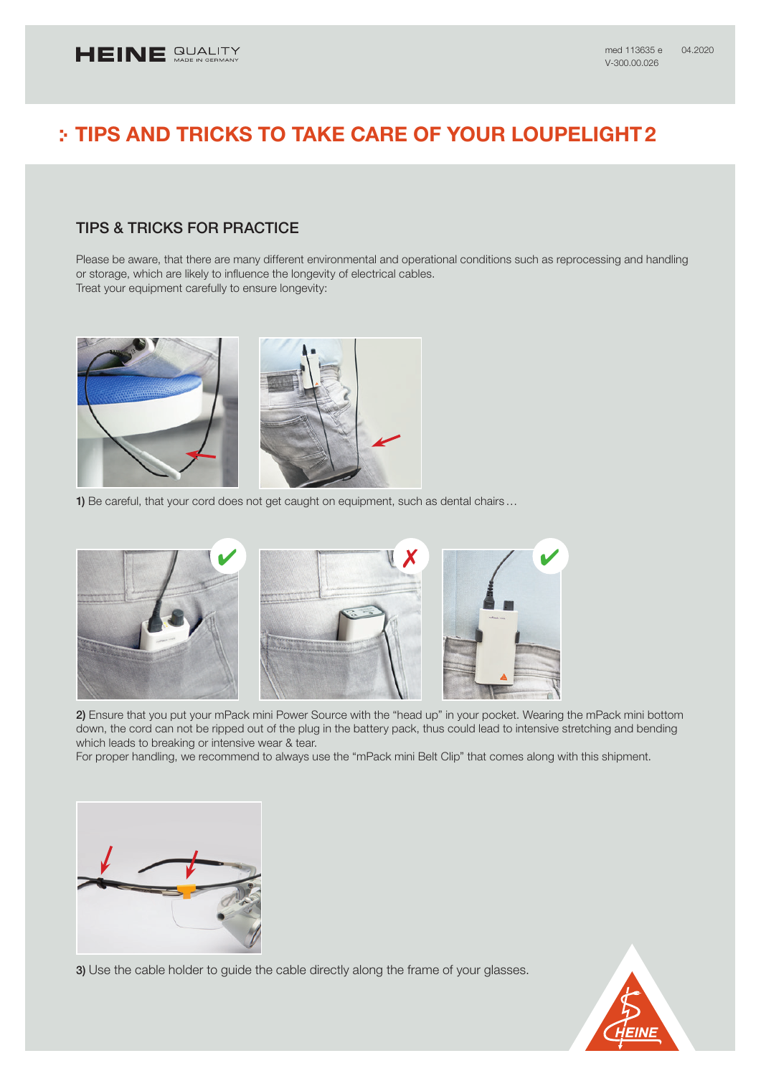# TIPS AND TRICKS TO TAKE CARE OF YOUR LOUPELIGHT2

## TIPS & TRICKS FOR PRACTICE

Please be aware, that there are many different environmental and operational conditions such as reprocessing and handling or storage, which are likely to influence the longevity of electrical cables. Treat your equipment carefully to ensure longevity:



1) Be careful, that your cord does not get caught on equipment, such as dental chairs...



2) Ensure that you put your mPack mini Power Source with the "head up" in your pocket. Wearing the mPack mini bottom down, the cord can not be ripped out of the plug in the battery pack, thus could lead to intensive stretching and bending which leads to breaking or intensive wear & tear.

For proper handling, we recommend to always use the "mPack mini Belt Clip" that comes along with this shipment.



3) Use the cable holder to guide the cable directly along the frame of your glasses.